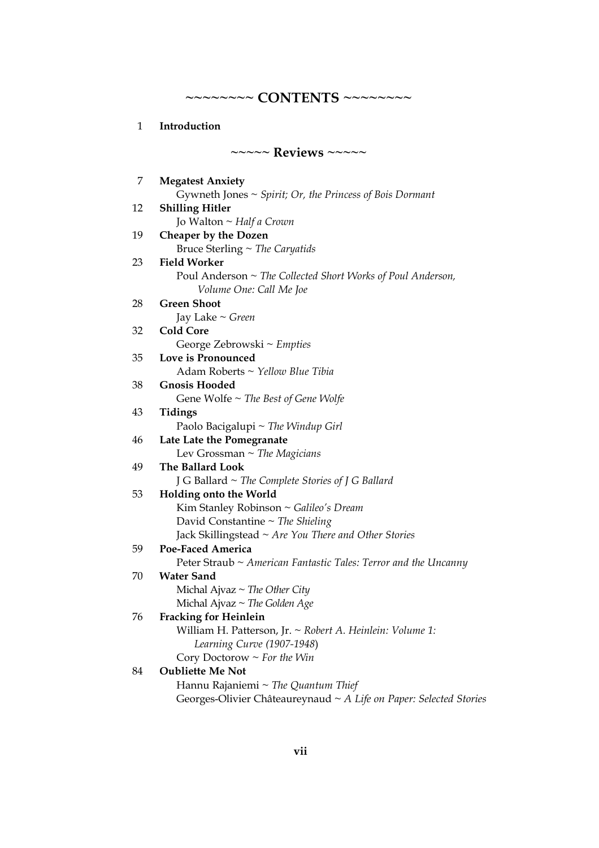**~~~~~~~~ CONTENTS ~~~~~~~~**

| Introduction |  |
|--------------|--|
|              |  |

| $\sim\sim\sim\sim$ Reviews $\sim\sim\sim\sim$ |                                                                                        |  |
|-----------------------------------------------|----------------------------------------------------------------------------------------|--|
| 7                                             | <b>Megatest Anxiety</b>                                                                |  |
|                                               | Gywneth Jones $\sim$ Spirit; Or, the Princess of Bois Dormant                          |  |
| 12                                            | <b>Shilling Hitler</b>                                                                 |  |
|                                               | Jo Walton ~ Half a Crown                                                               |  |
| 19                                            | Cheaper by the Dozen                                                                   |  |
|                                               | Bruce Sterling $\sim$ The Caryatids                                                    |  |
| 23                                            | <b>Field Worker</b>                                                                    |  |
|                                               | Poul Anderson ~ The Collected Short Works of Poul Anderson,<br>Volume One: Call Me Joe |  |
| 28                                            | <b>Green Shoot</b>                                                                     |  |
|                                               | Jay Lake $\sim$ Green                                                                  |  |
| 32                                            | <b>Cold Core</b>                                                                       |  |
|                                               | George Zebrowski ~ Empties                                                             |  |
| 35                                            | Love is Pronounced                                                                     |  |
|                                               | Adam Roberts ~ Yellow Blue Tibia                                                       |  |
| 38                                            | <b>Gnosis Hooded</b>                                                                   |  |
|                                               | Gene Wolfe $\sim$ The Best of Gene Wolfe                                               |  |
| 43                                            | Tidings                                                                                |  |
|                                               | Paolo Bacigalupi ~ The Windup Girl                                                     |  |
| 46                                            | Late Late the Pomegranate                                                              |  |
|                                               | Lev Grossman $\sim$ The Magicians                                                      |  |
| 49                                            | The Ballard Look                                                                       |  |
|                                               | J G Ballard $\sim$ The Complete Stories of J G Ballard                                 |  |
| 53                                            | <b>Holding onto the World</b>                                                          |  |
|                                               | Kim Stanley Robinson ~ Galileo's Dream                                                 |  |
|                                               | David Constantine $\sim$ The Shieling                                                  |  |
|                                               | Jack Skillingstead ~ Are You There and Other Stories                                   |  |
| 59                                            | <b>Poe-Faced America</b>                                                               |  |
|                                               | Peter Straub ~ American Fantastic Tales: Terror and the Uncanny                        |  |
| 70                                            | <b>Water Sand</b>                                                                      |  |
|                                               | Michal Ajvaz $\sim$ The Other City                                                     |  |
|                                               | Michal Ajvaz ~ The Golden Age                                                          |  |
| 76                                            | <b>Fracking for Heinlein</b>                                                           |  |
|                                               | William H. Patterson, Jr. ~ Robert A. Heinlein: Volume 1:                              |  |
|                                               | Learning Curve (1907-1948)                                                             |  |
|                                               | Cory Doctorow $\sim$ For the Win                                                       |  |
| 84                                            | <b>Oubliette Me Not</b>                                                                |  |
|                                               | Hannu Rajaniemi ~ The Quantum Thief                                                    |  |
|                                               | Georges-Olivier Châteaureynaud ~ A Life on Paper: Selected Stories                     |  |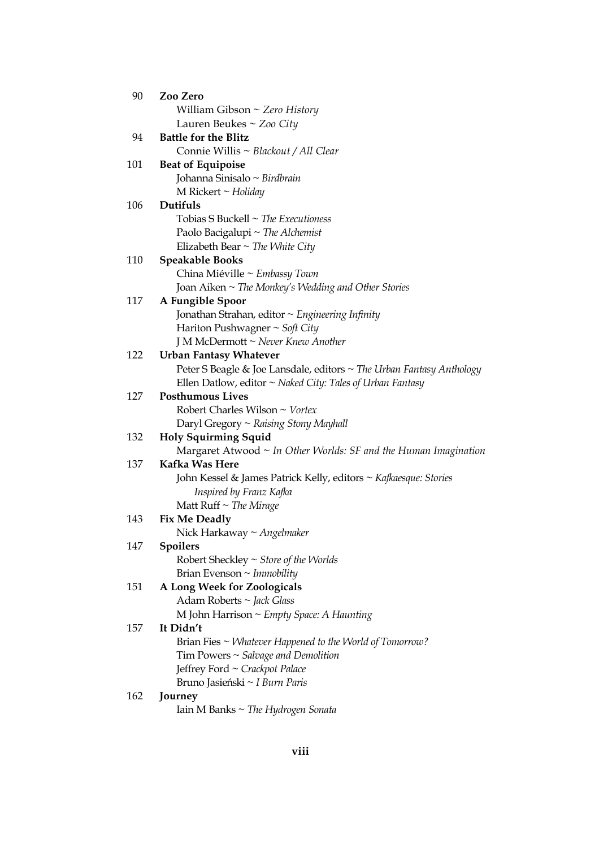| 90  | Zoo Zero                                                             |
|-----|----------------------------------------------------------------------|
|     | William Gibson $\sim$ Zero History                                   |
|     | Lauren Beukes ~ Zoo City                                             |
| 94  | <b>Battle for the Blitz</b>                                          |
|     | Connie Willis ~ Blackout / All Clear                                 |
| 101 | <b>Beat of Equipoise</b>                                             |
|     | Johanna Sinisalo ~ Birdbrain                                         |
|     | M Rickert $\sim$ Holiday                                             |
| 106 | Dutifuls                                                             |
|     | Tobias S Buckell $\sim$ The Executioness                             |
|     | Paolo Bacigalupi ~ The Alchemist                                     |
|     | Elizabeth Bear $\sim$ The White City                                 |
| 110 | <b>Speakable Books</b>                                               |
|     | China Miéville ~ Embassy Town                                        |
|     | Joan Aiken ~ The Monkey's Wedding and Other Stories                  |
| 117 | A Fungible Spoor                                                     |
|     | Jonathan Strahan, editor $\sim$ Engineering Infinity                 |
|     | Hariton Pushwagner ~ Soft City                                       |
|     | J M McDermott ~ Never Knew Another                                   |
| 122 | <b>Urban Fantasy Whatever</b>                                        |
|     | Peter S Beagle & Joe Lansdale, editors ~ The Urban Fantasy Anthology |
|     | Ellen Datlow, editor $\sim$ Naked City: Tales of Urban Fantasy       |
| 127 | <b>Posthumous Lives</b>                                              |
|     | Robert Charles Wilson $\sim$ Vortex                                  |
|     | Daryl Gregory $\sim$ Raising Stony Mayhall                           |
| 132 | <b>Holy Squirming Squid</b>                                          |
|     | Margaret Atwood $\sim$ In Other Worlds: SF and the Human Imagination |
| 137 | Kafka Was Here                                                       |
|     | John Kessel & James Patrick Kelly, editors ~ Kafkaesque: Stories     |
|     | Inspired by Franz Kafka                                              |
|     | Matt Ruff $\sim$ The Mirage                                          |
| 143 | <b>Fix Me Deadly</b>                                                 |
|     | Nick Harkaway ~ Angelmaker                                           |
| 147 | <b>Spoilers</b>                                                      |
|     | Robert Sheckley $\sim$ Store of the Worlds                           |
|     | Brian Evenson $\sim$ Immobility                                      |
| 151 | A Long Week for Zoologicals                                          |
|     | Adam Roberts ~ Jack Glass                                            |
|     | M John Harrison ~ Empty Space: A Haunting                            |
| 157 | It Didn't                                                            |
|     | Brian Fies $\sim$ <i>Whatever Happened to the World of Tomorrow?</i> |
|     | Tim Powers $\sim$ Salvage and Demolition                             |
|     | Jeffrey Ford ~ Crackpot Palace                                       |
|     | Bruno Jasieński ~ I Burn Paris                                       |
| 162 | Journey                                                              |
|     | Iain M Banks $\sim$ The Hydrogen Sonata                              |
|     |                                                                      |